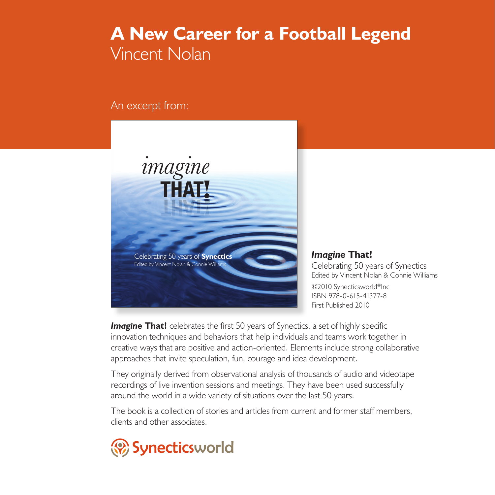## **A New Career for a Football Legend** Vincent Nolan

An excerpt from:



*Imagine* **That!** Celebrating 50 years of Synectics Edited by Vincent Nolan & Connie Williams ©2010 Synecticsworld®Inc ISBN 978-0-615-41377-8 First Published 2010

**Imagine That!** celebrates the first 50 years of Synectics, a set of highly specific innovation techniques and behaviors that help individuals and teams work together in creative ways that are positive and action-oriented. Elements include strong collaborative approaches that invite speculation, fun, courage and idea development.

They originally derived from observational analysis of thousands of audio and videotape recordings of live invention sessions and meetings. They have been used successfully around the world in a wide variety of situations over the last 50 years.

The book is a collection of stories and articles from current and former staff members, clients and other associates.

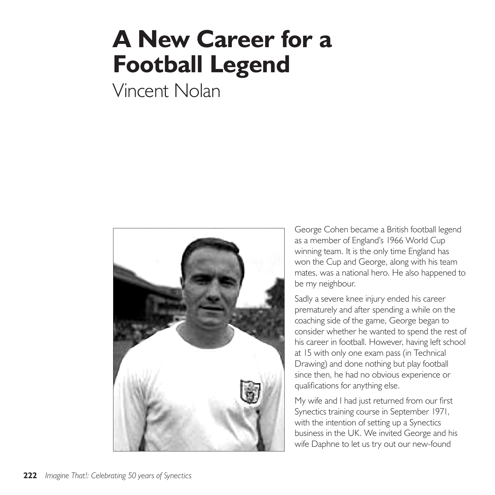## **A New Career for a Football Legend**

Vincent Nolan



George Cohen became a British football legend as a member of England's 1966 World Cup winning team. It is the only time England has won the Cup and George, along with his team mates, was a national hero. He also happened to be my neighbour.

Sadly a severe knee injury ended his career prematurely and after spending a while on the coaching side of the game, George began to consider whether he wanted to spend the rest of his career in football. However, having left school at 15 with only one exam pass (in Technical Drawing) and done nothing but play football since then, he had no obvious experience or qualifications for anything else.

My wife and I had just returned from our first Synectics training course in September 1971, with the intention of setting up a Synectics business in the UK. We invited George and his wife Daphne to let us try out our new-found